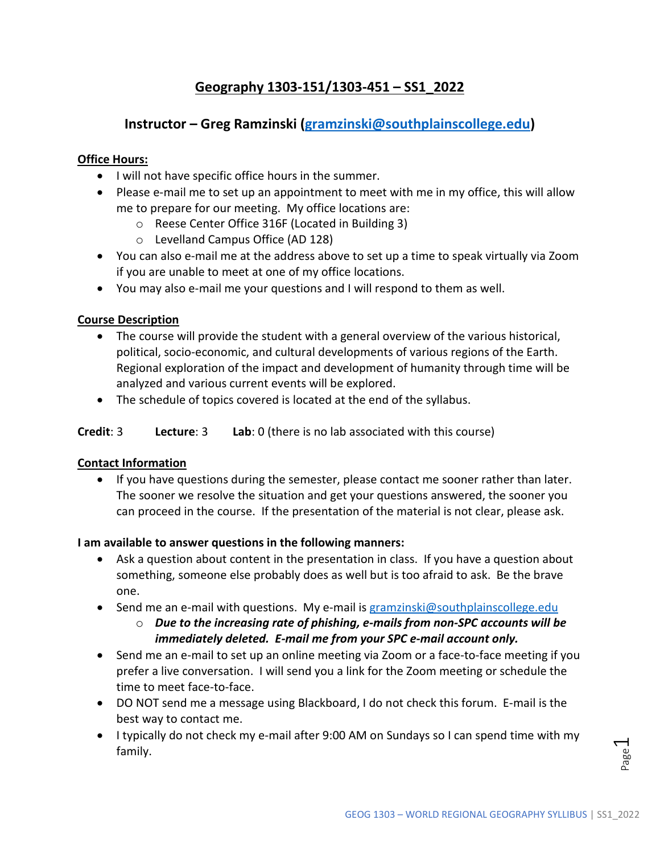# **Geography 1303-151/1303-451 – SS1\_2022**

## **Instructor – Greg Ramzinski [\(gramzinski@southplainscollege.edu\)](mailto:gramzinski@southplainscollege.edu)**

## **Office Hours:**

- I will not have specific office hours in the summer.
- Please e-mail me to set up an appointment to meet with me in my office, this will allow me to prepare for our meeting. My office locations are:
	- o Reese Center Office 316F (Located in Building 3)
	- o Levelland Campus Office (AD 128)
- You can also e-mail me at the address above to set up a time to speak virtually via Zoom if you are unable to meet at one of my office locations.
- You may also e-mail me your questions and I will respond to them as well.

## **Course Description**

- The course will provide the student with a general overview of the various historical, political, socio-economic, and cultural developments of various regions of the Earth. Regional exploration of the impact and development of humanity through time will be analyzed and various current events will be explored.
- The schedule of topics covered is located at the end of the syllabus.

### **Credit**: 3 **Lecture**: 3 **Lab**: 0 (there is no lab associated with this course)

#### **Contact Information**

• If you have questions during the semester, please contact me sooner rather than later. The sooner we resolve the situation and get your questions answered, the sooner you can proceed in the course. If the presentation of the material is not clear, please ask.

#### **I am available to answer questions in the following manners:**

- Ask a question about content in the presentation in class. If you have a question about something, someone else probably does as well but is too afraid to ask. Be the brave one.
- Send me an e-mail with questions. My e-mail is gramzinski@southplainscollege.edu
	- o *Due to the increasing rate of phishing, e-mails from non-SPC accounts will be immediately deleted. E-mail me from your SPC e-mail account only.*
- Send me an e-mail to set up an online meeting via Zoom or a face-to-face meeting if you prefer a live conversation. I will send you a link for the Zoom meeting or schedule the time to meet face-to-face.
- DO NOT send me a message using Blackboard, I do not check this forum. E-mail is the best way to contact me.
- I typically do not check my e-mail after 9:00 AM on Sundays so I can spend time with my family.

 $\overline{\phantom{0}}$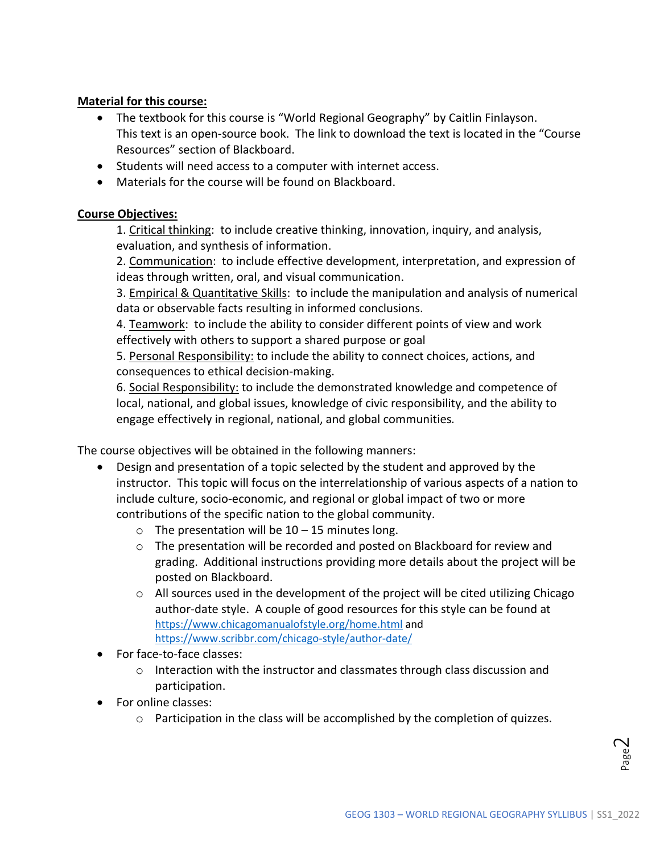## **Material for this course:**

- The textbook for this course is "World Regional Geography" by Caitlin Finlayson. This text is an open-source book. The link to download the text is located in the "Course Resources" section of Blackboard.
- Students will need access to a computer with internet access.
- Materials for the course will be found on Blackboard.

#### **Course Objectives:**

1. Critical thinking: to include creative thinking, innovation, inquiry, and analysis, evaluation, and synthesis of information.

2. Communication: to include effective development, interpretation, and expression of ideas through written, oral, and visual communication.

3. Empirical & Quantitative Skills: to include the manipulation and analysis of numerical data or observable facts resulting in informed conclusions.

4. Teamwork: to include the ability to consider different points of view and work effectively with others to support a shared purpose or goal

5. Personal Responsibility: to include the ability to connect choices, actions, and consequences to ethical decision-making.

6. Social Responsibility: to include the demonstrated knowledge and competence of local, national, and global issues, knowledge of civic responsibility, and the ability to engage effectively in regional, national, and global communities*.*

The course objectives will be obtained in the following manners:

- Design and presentation of a topic selected by the student and approved by the instructor. This topic will focus on the interrelationship of various aspects of a nation to include culture, socio-economic, and regional or global impact of two or more contributions of the specific nation to the global community.
	- $\circ$  The presentation will be 10 15 minutes long.
	- o The presentation will be recorded and posted on Blackboard for review and grading. Additional instructions providing more details about the project will be posted on Blackboard.
	- $\circ$  All sources used in the development of the project will be cited utilizing Chicago author-date style. A couple of good resources for this style can be found at <https://www.chicagomanualofstyle.org/home.html> and <https://www.scribbr.com/chicago-style/author-date/>
- For face-to-face classes:
	- $\circ$  Interaction with the instructor and classmates through class discussion and participation.
- For online classes:
	- $\circ$  Participation in the class will be accomplished by the completion of quizzes.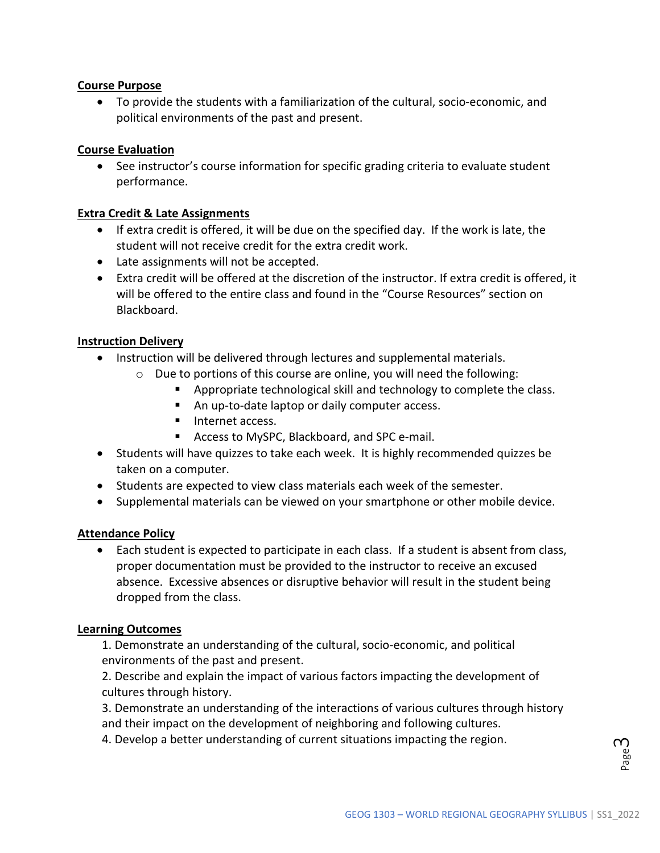### **Course Purpose**

• To provide the students with a familiarization of the cultural, socio-economic, and political environments of the past and present.

### **Course Evaluation**

• See instructor's course information for specific grading criteria to evaluate student performance.

#### **Extra Credit & Late Assignments**

- If extra credit is offered, it will be due on the specified day. If the work is late, the student will not receive credit for the extra credit work.
- Late assignments will not be accepted.
- Extra credit will be offered at the discretion of the instructor. If extra credit is offered, it will be offered to the entire class and found in the "Course Resources" section on Blackboard.

#### **Instruction Delivery**

- Instruction will be delivered through lectures and supplemental materials.
	- o Due to portions of this course are online, you will need the following:
		- **Appropriate technological skill and technology to complete the class.**
		- An up-to-date laptop or daily computer access.
		- **Internet access.**
		- Access to MySPC, Blackboard, and SPC e-mail.
- Students will have quizzes to take each week. It is highly recommended quizzes be taken on a computer.
- Students are expected to view class materials each week of the semester.
- Supplemental materials can be viewed on your smartphone or other mobile device.

#### **Attendance Policy**

• Each student is expected to participate in each class. If a student is absent from class, proper documentation must be provided to the instructor to receive an excused absence. Excessive absences or disruptive behavior will result in the student being dropped from the class.

#### **Learning Outcomes**

1. Demonstrate an understanding of the cultural, socio-economic, and political environments of the past and present.

2. Describe and explain the impact of various factors impacting the development of cultures through history.

3. Demonstrate an understanding of the interactions of various cultures through history and their impact on the development of neighboring and following cultures.

4. Develop a better understanding of current situations impacting the region.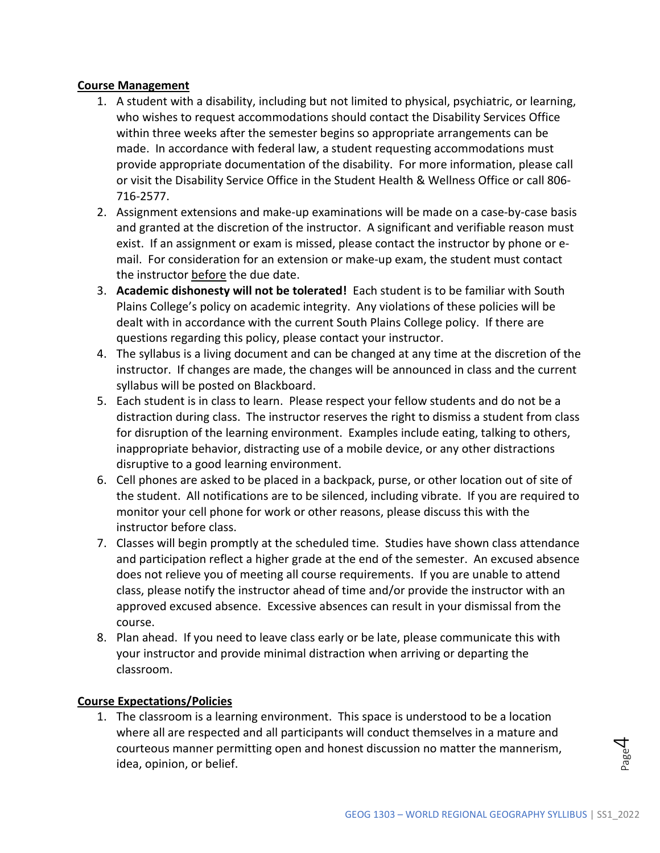## **Course Management**

- 1. A student with a disability, including but not limited to physical, psychiatric, or learning, who wishes to request accommodations should contact the Disability Services Office within three weeks after the semester begins so appropriate arrangements can be made. In accordance with federal law, a student requesting accommodations must provide appropriate documentation of the disability. For more information, please call or visit the Disability Service Office in the Student Health & Wellness Office or call 806- 716-2577.
- 2. Assignment extensions and make-up examinations will be made on a case-by-case basis and granted at the discretion of the instructor. A significant and verifiable reason must exist. If an assignment or exam is missed, please contact the instructor by phone or email. For consideration for an extension or make-up exam, the student must contact the instructor before the due date.
- 3. **Academic dishonesty will not be tolerated!** Each student is to be familiar with South Plains College's policy on academic integrity. Any violations of these policies will be dealt with in accordance with the current South Plains College policy. If there are questions regarding this policy, please contact your instructor.
- 4. The syllabus is a living document and can be changed at any time at the discretion of the instructor. If changes are made, the changes will be announced in class and the current syllabus will be posted on Blackboard.
- 5. Each student is in class to learn. Please respect your fellow students and do not be a distraction during class. The instructor reserves the right to dismiss a student from class for disruption of the learning environment. Examples include eating, talking to others, inappropriate behavior, distracting use of a mobile device, or any other distractions disruptive to a good learning environment.
- 6. Cell phones are asked to be placed in a backpack, purse, or other location out of site of the student. All notifications are to be silenced, including vibrate. If you are required to monitor your cell phone for work or other reasons, please discuss this with the instructor before class.
- 7. Classes will begin promptly at the scheduled time. Studies have shown class attendance and participation reflect a higher grade at the end of the semester. An excused absence does not relieve you of meeting all course requirements. If you are unable to attend class, please notify the instructor ahead of time and/or provide the instructor with an approved excused absence. Excessive absences can result in your dismissal from the course.
- 8. Plan ahead. If you need to leave class early or be late, please communicate this with your instructor and provide minimal distraction when arriving or departing the classroom.

## **Course Expectations/Policies**

1. The classroom is a learning environment. This space is understood to be a location where all are respected and all participants will conduct themselves in a mature and courteous manner permitting open and honest discussion no matter the mannerism, idea, opinion, or belief.

 $\overline{\mathcal{A}}$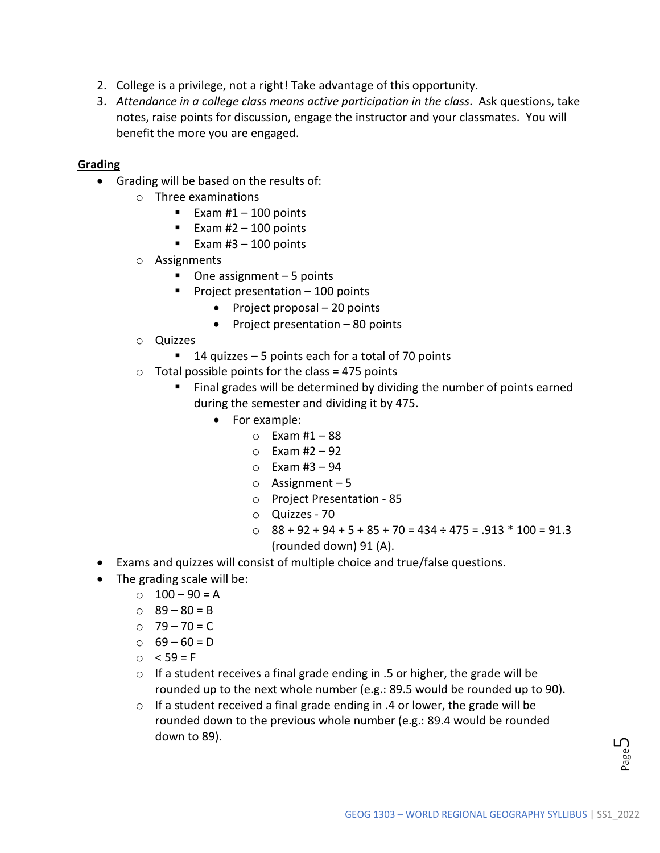- 2. College is a privilege, not a right! Take advantage of this opportunity.
- 3. *Attendance in a college class means active participation in the class*. Ask questions, take notes, raise points for discussion, engage the instructor and your classmates. You will benefit the more you are engaged.

#### **Grading**

- Grading will be based on the results of:
	- o Three examinations
		- Exam  $#1 100$  points
		- Exam  $#2 100$  points
		- Exam  $#3 100$  points
	- o Assignments
		- $\blacksquare$  One assignment 5 points
		- Project presentation  $-100$  points
			- Project proposal 20 points
			- Project presentation 80 points
	- o Quizzes
		- $\blacksquare$  14 quizzes 5 points each for a total of 70 points
	- $\circ$  Total possible points for the class = 475 points
		- Final grades will be determined by dividing the number of points earned during the semester and dividing it by 475.
			- For example:
				- $O$  Exam #1 88
				- $\circ$  Exam #2 92
				- $\circ$  Exam #3 94
				- o Assignment 5
				- o Project Presentation 85
				- o Quizzes 70
				- $\degree$  88 + 92 + 94 + 5 + 85 + 70 = 434 ÷ 475 = .913 \* 100 = 91.3 (rounded down) 91 (A).
- Exams and quizzes will consist of multiple choice and true/false questions.
- The grading scale will be:
	- $\circ$  100 90 = A
	- $0 \times 89 80 = B$
	- $O$  79 70 = C
	- $0 69 60 = D$
	- $\circ$  < 59 = F
	- o If a student receives a final grade ending in .5 or higher, the grade will be rounded up to the next whole number (e.g.: 89.5 would be rounded up to 90).
	- o If a student received a final grade ending in .4 or lower, the grade will be rounded down to the previous whole number (e.g.: 89.4 would be rounded down to 89).

ഥ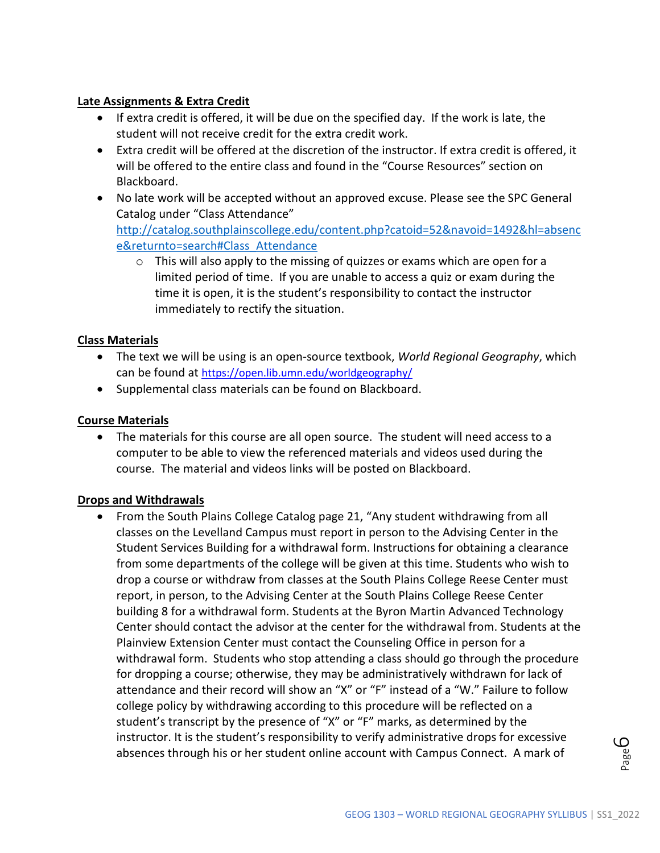## **Late Assignments & Extra Credit**

- If extra credit is offered, it will be due on the specified day. If the work is late, the student will not receive credit for the extra credit work.
- Extra credit will be offered at the discretion of the instructor. If extra credit is offered, it will be offered to the entire class and found in the "Course Resources" section on Blackboard.
- No late work will be accepted without an approved excuse. Please see the SPC General Catalog under "Class Attendance" [http://catalog.southplainscollege.edu/content.php?catoid=52&navoid=1492&hl=absenc](http://catalog.southplainscollege.edu/content.php?catoid=52&navoid=1492&hl=absence&returnto=search#Class_Attendance) [e&returnto=search#Class\\_Attendance](http://catalog.southplainscollege.edu/content.php?catoid=52&navoid=1492&hl=absence&returnto=search#Class_Attendance) 
	- $\circ$  This will also apply to the missing of quizzes or exams which are open for a limited period of time. If you are unable to access a quiz or exam during the time it is open, it is the student's responsibility to contact the instructor immediately to rectify the situation.

## **Class Materials**

- The text we will be using is an open-source textbook, *World Regional Geography*, which can be found at<https://open.lib.umn.edu/worldgeography/>
- Supplemental class materials can be found on Blackboard.

## **Course Materials**

• The materials for this course are all open source. The student will need access to a computer to be able to view the referenced materials and videos used during the course. The material and videos links will be posted on Blackboard.

#### **Drops and Withdrawals**

• From the South Plains College Catalog page 21, "Any student withdrawing from all classes on the Levelland Campus must report in person to the Advising Center in the Student Services Building for a withdrawal form. Instructions for obtaining a clearance from some departments of the college will be given at this time. Students who wish to drop a course or withdraw from classes at the South Plains College Reese Center must report, in person, to the Advising Center at the South Plains College Reese Center building 8 for a withdrawal form. Students at the Byron Martin Advanced Technology Center should contact the advisor at the center for the withdrawal from. Students at the Plainview Extension Center must contact the Counseling Office in person for a withdrawal form. Students who stop attending a class should go through the procedure for dropping a course; otherwise, they may be administratively withdrawn for lack of attendance and their record will show an "X" or "F" instead of a "W." Failure to follow college policy by withdrawing according to this procedure will be reflected on a student's transcript by the presence of "X" or "F" marks, as determined by the instructor. It is the student's responsibility to verify administrative drops for excessive absences through his or her student online account with Campus Connect. A mark of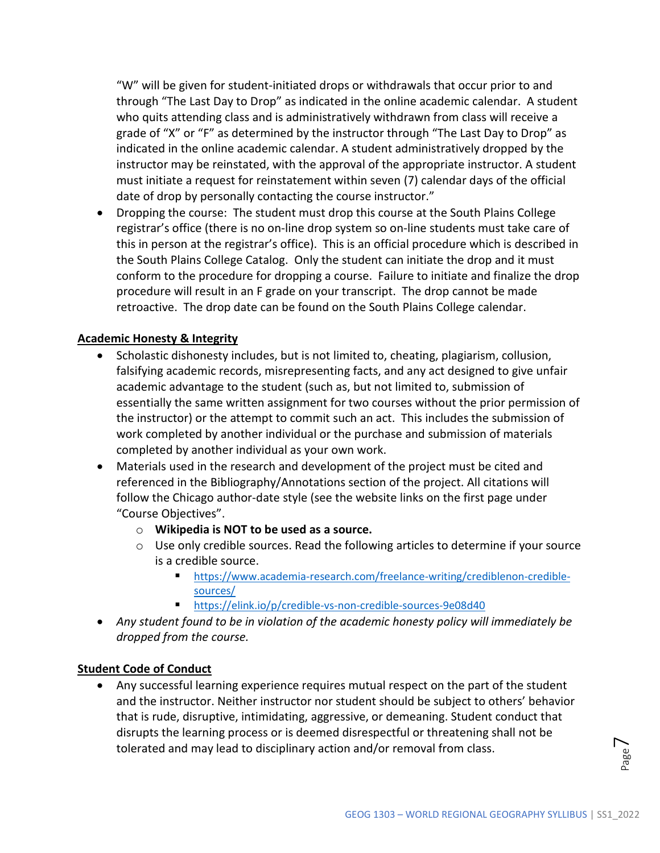"W" will be given for student-initiated drops or withdrawals that occur prior to and through "The Last Day to Drop" as indicated in the online academic calendar. A student who quits attending class and is administratively withdrawn from class will receive a grade of "X" or "F" as determined by the instructor through "The Last Day to Drop" as indicated in the online academic calendar. A student administratively dropped by the instructor may be reinstated, with the approval of the appropriate instructor. A student must initiate a request for reinstatement within seven (7) calendar days of the official date of drop by personally contacting the course instructor."

• Dropping the course: The student must drop this course at the South Plains College registrar's office (there is no on-line drop system so on-line students must take care of this in person at the registrar's office). This is an official procedure which is described in the South Plains College Catalog. Only the student can initiate the drop and it must conform to the procedure for dropping a course. Failure to initiate and finalize the drop procedure will result in an F grade on your transcript. The drop cannot be made retroactive. The drop date can be found on the South Plains College calendar.

#### **Academic Honesty & Integrity**

- Scholastic dishonesty includes, but is not limited to, cheating, plagiarism, collusion, falsifying academic records, misrepresenting facts, and any act designed to give unfair academic advantage to the student (such as, but not limited to, submission of essentially the same written assignment for two courses without the prior permission of the instructor) or the attempt to commit such an act. This includes the submission of work completed by another individual or the purchase and submission of materials completed by another individual as your own work.
- Materials used in the research and development of the project must be cited and referenced in the Bibliography/Annotations section of the project. All citations will follow the Chicago author-date style (see the website links on the first page under "Course Objectives".
	- o **Wikipedia is NOT to be used as a source.**
	- o Use only credible sources. Read the following articles to determine if your source is a credible source.
		- [https://www.academia-research.com/freelance-writing/crediblenon-credible](https://www.academia-research.com/freelance-writing/crediblenon-credible-sources/)[sources/](https://www.academia-research.com/freelance-writing/crediblenon-credible-sources/)
		- <https://elink.io/p/credible-vs-non-credible-sources-9e08d40>
- *Any student found to be in violation of the academic honesty policy will immediately be dropped from the course.*

#### **Student Code of Conduct**

• Any successful learning experience requires mutual respect on the part of the student and the instructor. Neither instructor nor student should be subject to others' behavior that is rude, disruptive, intimidating, aggressive, or demeaning. Student conduct that disrupts the learning process or is deemed disrespectful or threatening shall not be tolerated and may lead to disciplinary action and/or removal from class.

 $\overline{\phantom{a}}$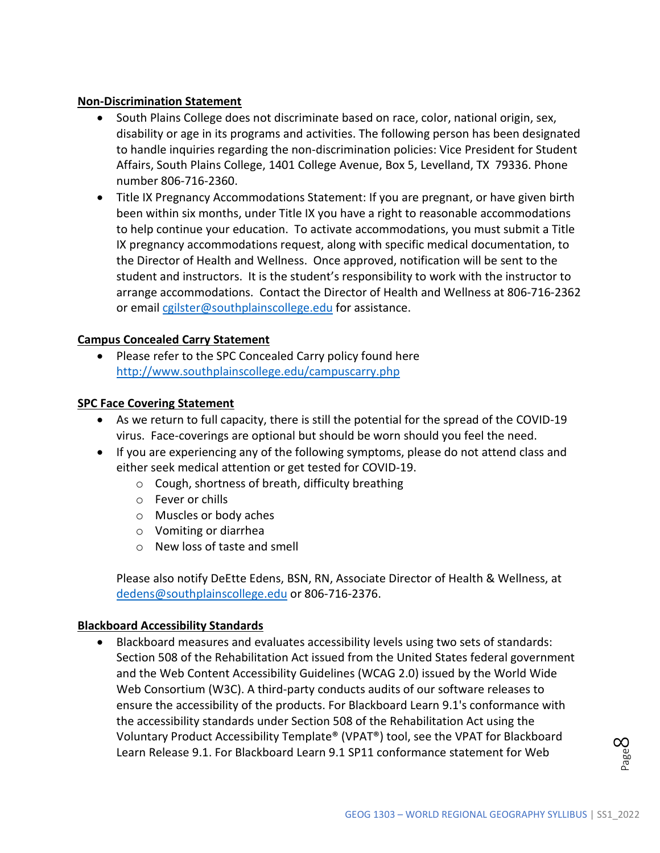#### **Non-Discrimination Statement**

- South Plains College does not discriminate based on race, color, national origin, sex, disability or age in its programs and activities. The following person has been designated to handle inquiries regarding the non-discrimination policies: Vice President for Student Affairs, South Plains College, 1401 College Avenue, Box 5, Levelland, TX 79336. Phone number 806-716-2360.
- Title IX Pregnancy Accommodations Statement: If you are pregnant, or have given birth been within six months, under Title IX you have a right to reasonable accommodations to help continue your education. To activate accommodations, you must submit a Title IX pregnancy accommodations request, along with specific medical documentation, to the Director of Health and Wellness. Once approved, notification will be sent to the student and instructors. It is the student's responsibility to work with the instructor to arrange accommodations. Contact the Director of Health and Wellness at 806-716-2362 or emai[l cgilster@southplainscollege.edu](mailto:cgilster@southplainscollege.edu) for assistance.

#### **Campus Concealed Carry Statement**

Please refer to the SPC Concealed Carry policy found here <http://www.southplainscollege.edu/campuscarry.php>

#### **SPC Face Covering Statement**

- As we return to full capacity, there is still the potential for the spread of the COVID-19 virus. Face-coverings are optional but should be worn should you feel the need.
- If you are experiencing any of the following symptoms, please do not attend class and either seek medical attention or get tested for COVID-19.
	- o Cough, shortness of breath, difficulty breathing
	- o Fever or chills
	- o Muscles or body aches
	- o Vomiting or diarrhea
	- o New loss of taste and smell

Please also notify DeEtte Edens, BSN, RN, Associate Director of Health & Wellness, at [dedens@southplainscollege.edu](mailto:dedens@southplainscollege.edu) or 806-716-2376.

#### **Blackboard Accessibility Standards**

• Blackboard measures and evaluates accessibility levels using two sets of standards: Section 508 of the Rehabilitation Act issued from the United States federal government and the Web Content Accessibility Guidelines (WCAG 2.0) issued by the World Wide Web Consortium (W3C). A third-party conducts audits of our software releases to ensure the accessibility of the products. For Blackboard Learn 9.1's conformance with the accessibility standards under Section 508 of the Rehabilitation Act using the Voluntary Product Accessibility Template® (VPAT®) tool, see the VPAT for Blackboard Learn Release 9.1. For Blackboard Learn 9.1 SP11 conformance statement for Web